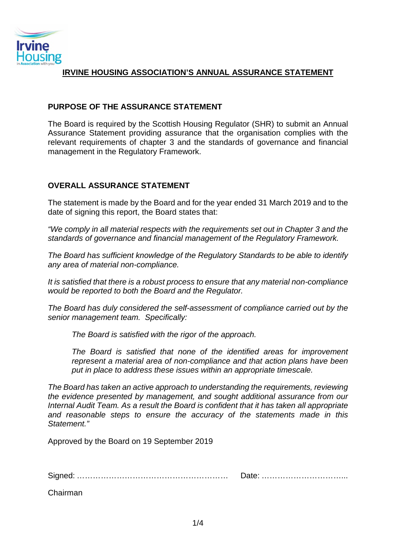

## **IRVINE HOUSING ASSOCIATION'S ANNUAL ASSURANCE STATEMENT**

## **PURPOSE OF THE ASSURANCE STATEMENT**

The Board is required by the Scottish Housing Regulator (SHR) to submit an Annual Assurance Statement providing assurance that the organisation complies with the relevant requirements of chapter 3 and the standards of governance and financial management in the Regulatory Framework.

## **OVERALL ASSURANCE STATEMENT**

The statement is made by the Board and for the year ended 31 March 2019 and to the date of signing this report, the Board states that:

*"We comply in all material respects with the requirements set out in Chapter 3 and the standards of governance and financial management of the Regulatory Framework.*

*The Board has sufficient knowledge of the Regulatory Standards to be able to identify any area of material non-compliance.* 

*It is satisfied that there is a robust process to ensure that any material non-compliance would be reported to both the Board and the Regulator.* 

*The Board has duly considered the self-assessment of compliance carried out by the senior management team. Specifically:*

*The Board is satisfied with the rigor of the approach.*

*The Board is satisfied that none of the identified areas for improvement represent a material area of non-compliance and that action plans have been put in place to address these issues within an appropriate timescale.*

*The Board has taken an active approach to understanding the requirements, reviewing the evidence presented by management, and sought additional assurance from our Internal Audit Team. As a result the Board is confident that it has taken all appropriate and reasonable steps to ensure the accuracy of the statements made in this Statement."*

Approved by the Board on 19 September 2019

Signed: ………………………………………………… Date: …………………………...

Chairman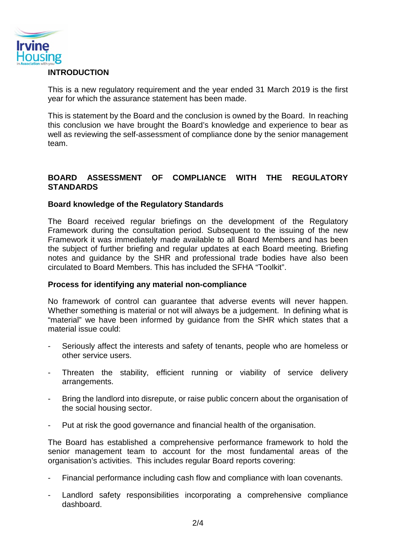

## **INTRODUCTION**

This is a new regulatory requirement and the year ended 31 March 2019 is the first year for which the assurance statement has been made.

This is statement by the Board and the conclusion is owned by the Board. In reaching this conclusion we have brought the Board's knowledge and experience to bear as well as reviewing the self-assessment of compliance done by the senior management team.

# **BOARD ASSESSMENT OF COMPLIANCE WITH THE REGULATORY STANDARDS**

## **Board knowledge of the Regulatory Standards**

The Board received regular briefings on the development of the Regulatory Framework during the consultation period. Subsequent to the issuing of the new Framework it was immediately made available to all Board Members and has been the subject of further briefing and regular updates at each Board meeting. Briefing notes and guidance by the SHR and professional trade bodies have also been circulated to Board Members. This has included the SFHA "Toolkit".

### **Process for identifying any material non-compliance**

No framework of control can guarantee that adverse events will never happen. Whether something is material or not will always be a judgement. In defining what is "material" we have been informed by guidance from the SHR which states that a material issue could:

- Seriously affect the interests and safety of tenants, people who are homeless or other service users.
- Threaten the stability, efficient running or viability of service delivery arrangements.
- Bring the landlord into disrepute, or raise public concern about the organisation of the social housing sector.
- Put at risk the good governance and financial health of the organisation.

The Board has established a comprehensive performance framework to hold the senior management team to account for the most fundamental areas of the organisation's activities. This includes regular Board reports covering:

- Financial performance including cash flow and compliance with loan covenants.
- Landlord safety responsibilities incorporating a comprehensive compliance dashboard.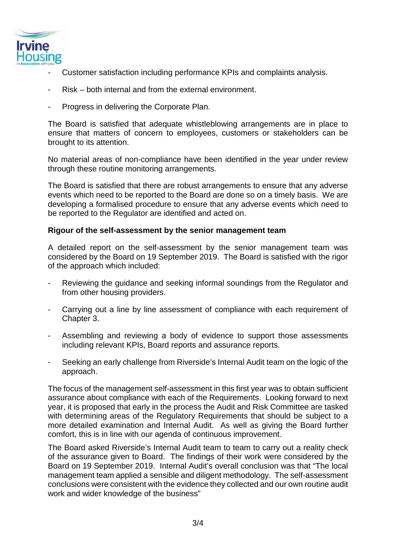

- Customer satisfaction including performance KPIs and complaints analysis.
- Risk both internal and from the external environment.
- Progress in delivering the Corporate Plan.

The Board is satisfied that adequate whistleblowing arrangements are in place to ensure that matters of concern to employees, customers or stakeholders can be brought to its attention.

No material areas of non-compliance have been identified in the year under review through these routine monitoring arrangements.

The Board is satisfied that there are robust arrangements to ensure that any adverse events which need to be reported to the Board are done so on a timely basis. We are developing a formalised procedure to ensure that any adverse events which need to be reported to the Regulator are identified and acted on.

## **Rigour of the self-assessment by the senior management team**

A detailed report on the self-assessment by the senior management team was considered by the Board on 19 September 2019. The Board is satisfied with the rigor of the approach which included:

- Reviewing the guidance and seeking informal soundings from the Regulator and from other housing providers.
- Carrying out a line by line assessment of compliance with each requirement of Chapter 3.
- Assembling and reviewing a body of evidence to support those assessments including relevant KPIs, Board reports and assurance reports.
- Seeking an early challenge from Riverside's Internal Audit team on the logic of the approach.

The focus of the management self-assessment in this first year was to obtain sufficient assurance about compliance with each of the Requirements. Looking forward to next year, it is proposed that early in the process the Audit and Risk Committee are tasked with determining areas of the Regulatory Requirements that should be subject to a more detailed examination and Internal Audit. As well as giving the Board further comfort, this is in line with our agenda of continuous improvement.

The Board asked Riverside's Internal Audit team to team to carry out a reality check of the assurance given to Board. The findings of their work were considered by the Board on 19 September 2019. Internal Audit's overall conclusion was that "The local management team applied a sensible and diligent methodology. The self-assessment conclusions were consistent with the evidence they collected and our own routine audit work and wider knowledge of the business"